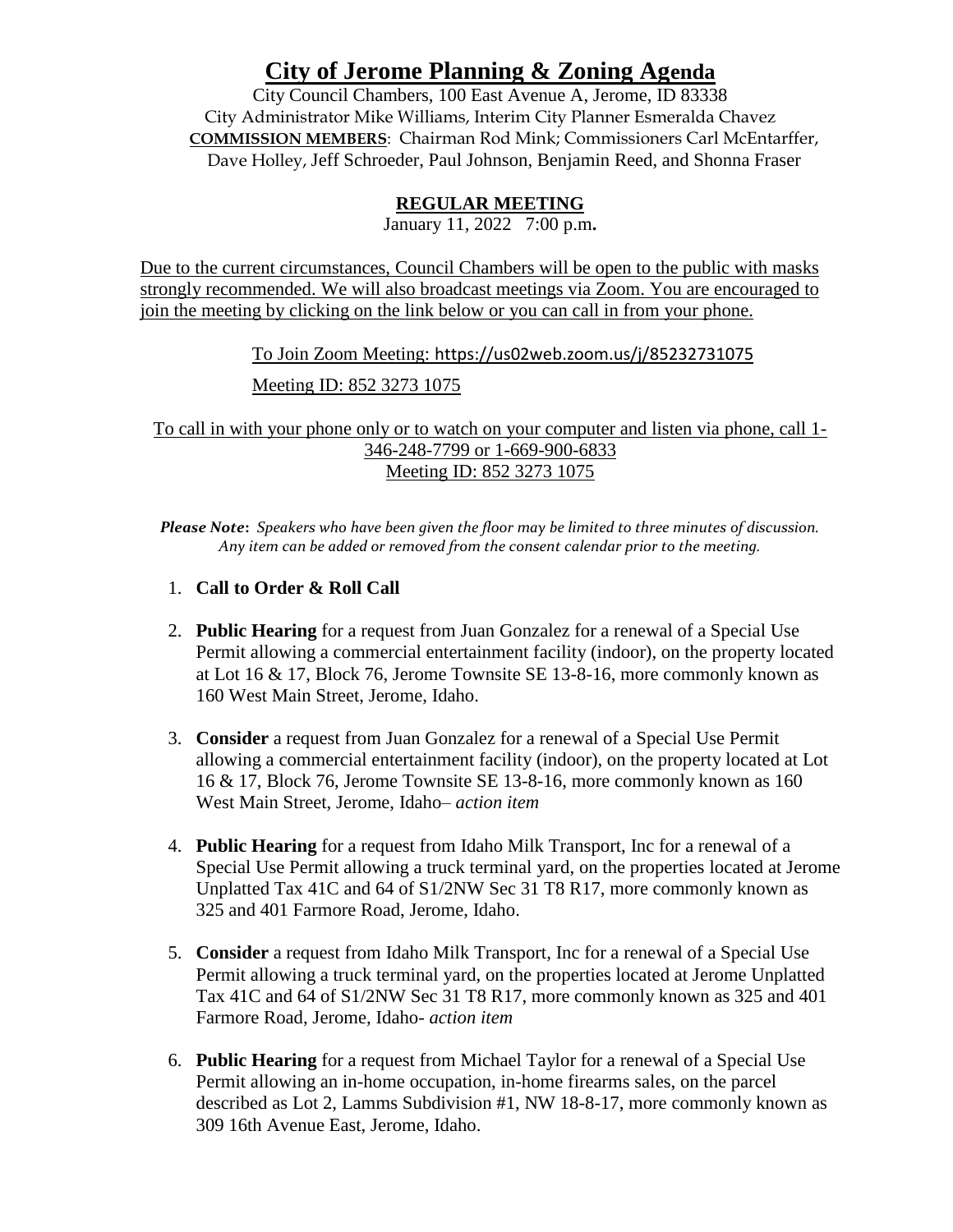City Council Chambers, 100 East Avenue A, Jerome, ID 83338 City Administrator Mike Williams, Interim City Planner Esmeralda Chavez **COMMISSION MEMBERS**: Chairman Rod Mink; Commissioners Carl McEntarffer, Dave Holley, Jeff Schroeder, Paul Johnson, Benjamin Reed, and Shonna Fraser

## **REGULAR MEETING**

January 11, 2022 7:00 p.m**.**

Due to the current circumstances, Council Chambers will be open to the public with masks strongly recommended. We will also broadcast meetings via Zoom. You are encouraged to join the meeting by clicking on the link below or you can call in from your phone.

> To Join Zoom Meeting: https://us02web.zoom.us/j/85232731075 Meeting ID: 852 3273 1075

To call in with your phone only or to watch on your computer and listen via phone, call 1- 346-248-7799 or 1-669-900-6833 Meeting ID: 852 3273 1075

*Please Note***:** *Speakers who have been given the floor may be limited to three minutes of discussion. Any item can be added or removed from the consent calendar prior to the meeting.*

- 1. **Call to Order & Roll Call**
- 2. **Public Hearing** for a request from Juan Gonzalez for a renewal of a Special Use Permit allowing a commercial entertainment facility (indoor), on the property located at Lot 16 & 17, Block 76, Jerome Townsite SE 13-8-16, more commonly known as 160 West Main Street, Jerome, Idaho.
- 3. **Consider** a request from Juan Gonzalez for a renewal of a Special Use Permit allowing a commercial entertainment facility (indoor), on the property located at Lot 16 & 17, Block 76, Jerome Townsite SE 13-8-16, more commonly known as 160 West Main Street, Jerome, Idaho– *action item*
- 4. **Public Hearing** for a request from Idaho Milk Transport, Inc for a renewal of a Special Use Permit allowing a truck terminal yard, on the properties located at Jerome Unplatted Tax 41C and 64 of S1/2NW Sec 31 T8 R17, more commonly known as 325 and 401 Farmore Road, Jerome, Idaho.
- 5. **Consider** a request from Idaho Milk Transport, Inc for a renewal of a Special Use Permit allowing a truck terminal yard, on the properties located at Jerome Unplatted Tax 41C and 64 of S1/2NW Sec 31 T8 R17, more commonly known as 325 and 401 Farmore Road, Jerome, Idaho- *action item*
- 6. **Public Hearing** for a request from Michael Taylor for a renewal of a Special Use Permit allowing an in-home occupation, in-home firearms sales, on the parcel described as Lot 2, Lamms Subdivision #1, NW 18-8-17, more commonly known as 309 16th Avenue East, Jerome, Idaho.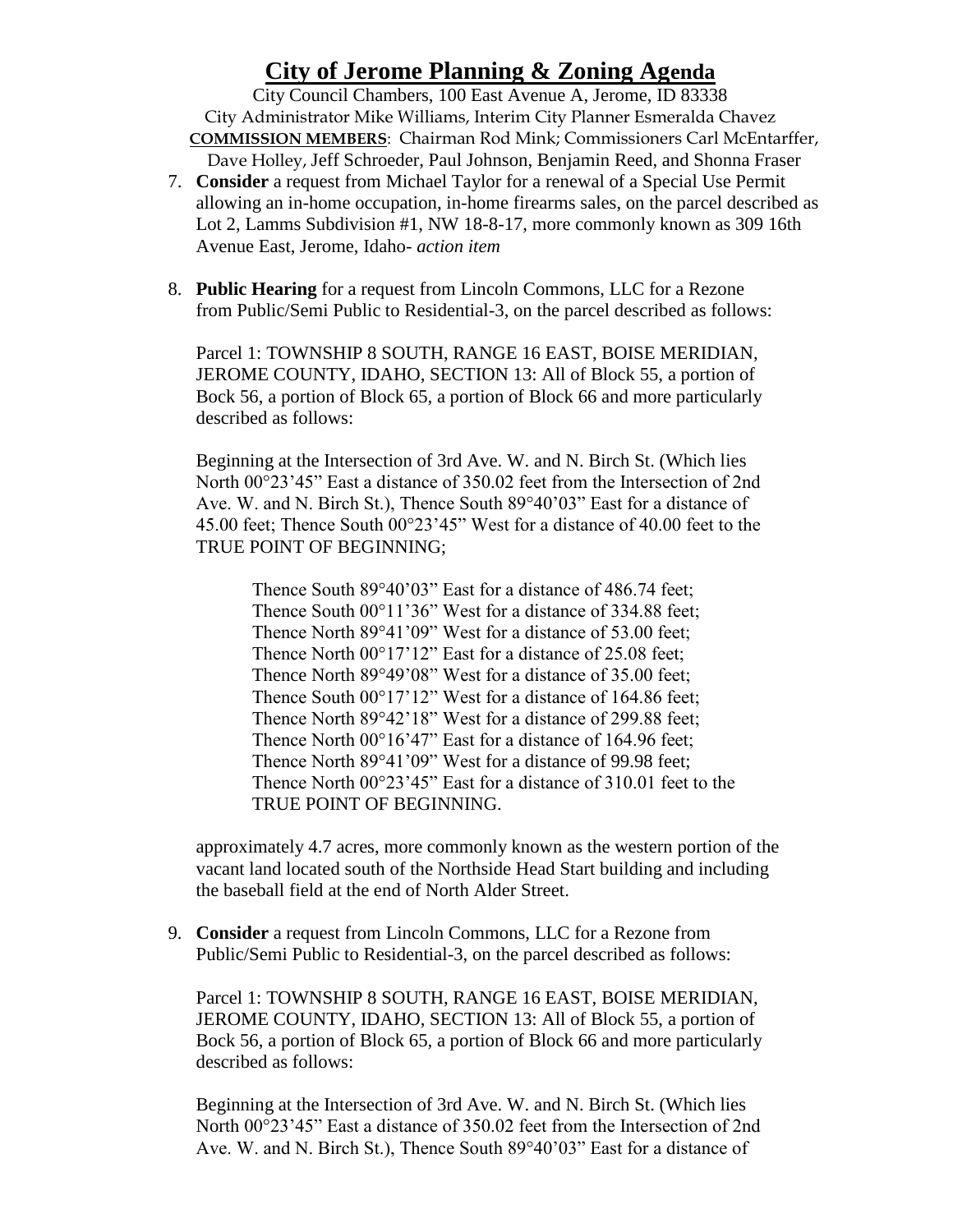City Council Chambers, 100 East Avenue A, Jerome, ID 83338 City Administrator Mike Williams, Interim City Planner Esmeralda Chavez **COMMISSION MEMBERS**: Chairman Rod Mink; Commissioners Carl McEntarffer, Dave Holley, Jeff Schroeder, Paul Johnson, Benjamin Reed, and Shonna Fraser

- 7. **Consider** a request from Michael Taylor for a renewal of a Special Use Permit allowing an in-home occupation, in-home firearms sales, on the parcel described as Lot 2, Lamms Subdivision #1, NW 18-8-17, more commonly known as 309 16th Avenue East, Jerome, Idaho- *action item*
- 8. **Public Hearing** for a request from Lincoln Commons, LLC for a Rezone from Public/Semi Public to Residential-3, on the parcel described as follows:

Parcel 1: TOWNSHIP 8 SOUTH, RANGE 16 EAST, BOISE MERIDIAN, JEROME COUNTY, IDAHO, SECTION 13: All of Block 55, a portion of Bock 56, a portion of Block 65, a portion of Block 66 and more particularly described as follows:

Beginning at the Intersection of 3rd Ave. W. and N. Birch St. (Which lies North 00°23'45" East a distance of 350.02 feet from the Intersection of 2nd Ave. W. and N. Birch St.), Thence South 89°40'03" East for a distance of 45.00 feet; Thence South 00°23'45" West for a distance of 40.00 feet to the TRUE POINT OF BEGINNING;

Thence South 89°40'03" East for a distance of 486.74 feet; Thence South 00°11'36" West for a distance of 334.88 feet: Thence North 89°41'09" West for a distance of 53.00 feet; Thence North  $00^{\circ}17'12''$  East for a distance of 25.08 feet; Thence North 89°49'08" West for a distance of 35.00 feet; Thence South  $00^{\circ}17'12''$  West for a distance of 164.86 feet; Thence North 89°42'18" West for a distance of 299.88 feet; Thence North 00°16'47" East for a distance of 164.96 feet; Thence North 89°41'09" West for a distance of 99.98 feet; Thence North 00°23'45" East for a distance of 310.01 feet to the TRUE POINT OF BEGINNING.

approximately 4.7 acres, more commonly known as the western portion of the vacant land located south of the Northside Head Start building and including the baseball field at the end of North Alder Street.

9. **Consider** a request from Lincoln Commons, LLC for a Rezone from Public/Semi Public to Residential-3, on the parcel described as follows:

Parcel 1: TOWNSHIP 8 SOUTH, RANGE 16 EAST, BOISE MERIDIAN, JEROME COUNTY, IDAHO, SECTION 13: All of Block 55, a portion of Bock 56, a portion of Block 65, a portion of Block 66 and more particularly described as follows:

Beginning at the Intersection of 3rd Ave. W. and N. Birch St. (Which lies North 00°23'45" East a distance of 350.02 feet from the Intersection of 2nd Ave. W. and N. Birch St.), Thence South 89°40'03" East for a distance of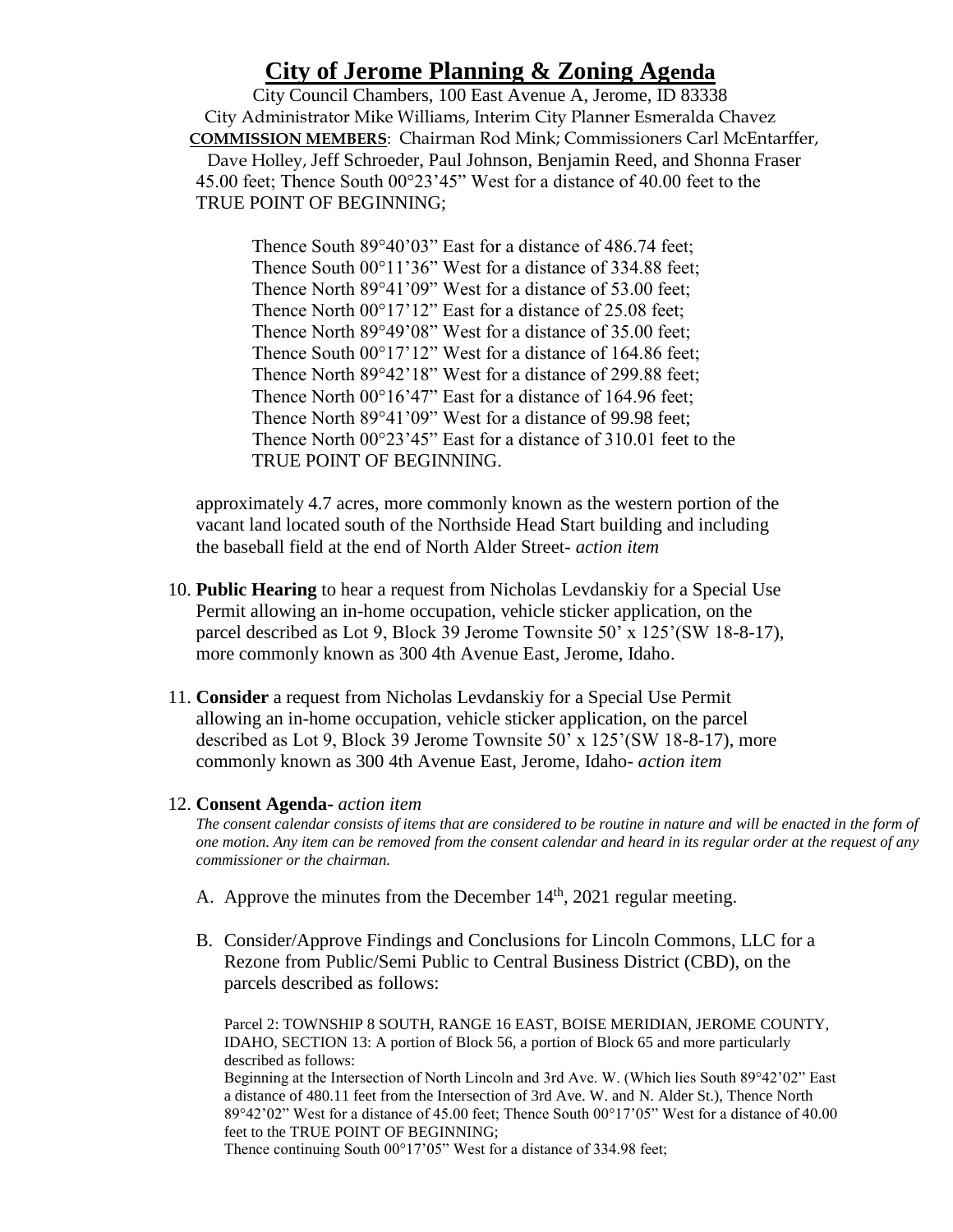City Council Chambers, 100 East Avenue A, Jerome, ID 83338 City Administrator Mike Williams, Interim City Planner Esmeralda Chavez **COMMISSION MEMBERS**: Chairman Rod Mink; Commissioners Carl McEntarffer, Dave Holley, Jeff Schroeder, Paul Johnson, Benjamin Reed, and Shonna Fraser 45.00 feet; Thence South 00°23'45" West for a distance of 40.00 feet to the TRUE POINT OF BEGINNING;

Thence South 89°40'03" East for a distance of 486.74 feet; Thence South 00°11'36" West for a distance of 334.88 feet; Thence North 89°41'09" West for a distance of 53.00 feet; Thence North 00°17'12" East for a distance of 25.08 feet; Thence North 89°49'08" West for a distance of 35.00 feet; Thence South  $00^{\circ}17'12''$  West for a distance of 164.86 feet; Thence North 89°42'18" West for a distance of 299.88 feet; Thence North 00°16'47" East for a distance of 164.96 feet; Thence North 89°41'09" West for a distance of 99.98 feet; Thence North 00°23'45" East for a distance of 310.01 feet to the TRUE POINT OF BEGINNING.

approximately 4.7 acres, more commonly known as the western portion of the vacant land located south of the Northside Head Start building and including the baseball field at the end of North Alder Street- *action item*

- 10. **Public Hearing** to hear a request from Nicholas Levdanskiy for a Special Use Permit allowing an in-home occupation, vehicle sticker application, on the parcel described as Lot 9, Block 39 Jerome Townsite 50' x 125'(SW 18-8-17), more commonly known as 300 4th Avenue East, Jerome, Idaho.
- 11. **Consider** a request from Nicholas Levdanskiy for a Special Use Permit allowing an in-home occupation, vehicle sticker application, on the parcel described as Lot 9, Block 39 Jerome Townsite 50' x 125'(SW 18-8-17), more commonly known as 300 4th Avenue East, Jerome, Idaho- *action item*

#### 12. **Consent Agenda-** *action item*

*The consent calendar consists of items that are considered to be routine in nature and will be enacted in the form of one motion. Any item can be removed from the consent calendar and heard in its regular order at the request of any commissioner or the chairman.* 

- A. Approve the minutes from the December  $14<sup>th</sup>$ , 2021 regular meeting.
- B. Consider/Approve Findings and Conclusions for Lincoln Commons, LLC for a Rezone from Public/Semi Public to Central Business District (CBD), on the parcels described as follows:

Parcel 2: TOWNSHIP 8 SOUTH, RANGE 16 EAST, BOISE MERIDIAN, JEROME COUNTY, IDAHO, SECTION 13: A portion of Block 56, a portion of Block 65 and more particularly described as follows:

Beginning at the Intersection of North Lincoln and 3rd Ave. W. (Which lies South 89°42'02" East a distance of 480.11 feet from the Intersection of 3rd Ave. W. and N. Alder St.), Thence North 89°42'02" West for a distance of 45.00 feet; Thence South 00°17'05" West for a distance of 40.00 feet to the TRUE POINT OF BEGINNING;

Thence continuing South 00°17'05" West for a distance of 334.98 feet;